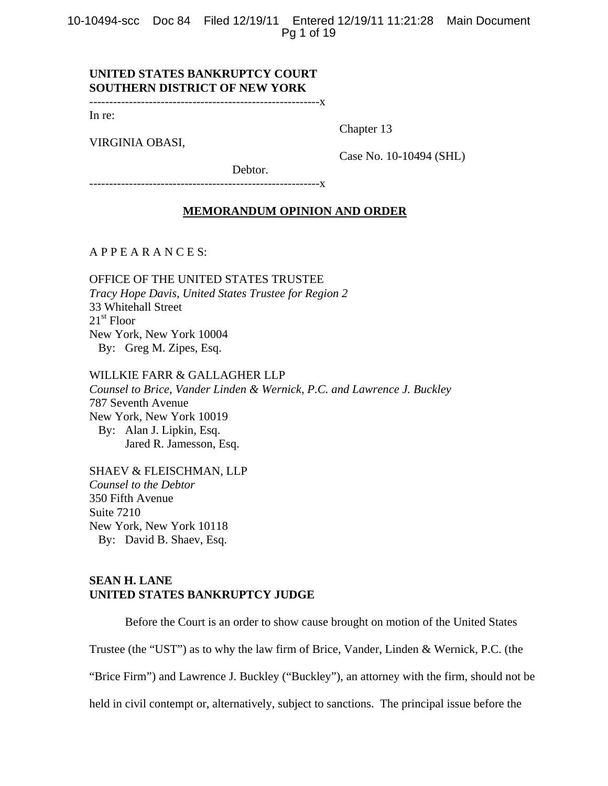10-10494-scc Doc 84 Filed 12/19/11 Entered 12/19/11 11:21:28 Main Document Pg 1 of 19

# **UNITED STATES BANKRUPTCY COURT SOUTHERN DISTRICT OF NEW YORK**

----------------------------------------------------------x

In re:

VIRGINIA OBASI,

Chapter 13

Case No. 10-10494 (SHL)

Debtor.

----------------------------------------------------------x

### **MEMORANDUM OPINION AND ORDER**

A P P E A R A N C E S:

OFFICE OF THE UNITED STATES TRUSTEE *Tracy Hope Davis, United States Trustee for Region 2*  33 Whitehall Street  $21<sup>st</sup>$  Floor New York, New York 10004 By: Greg M. Zipes, Esq.

WILLKIE FARR & GALLAGHER LLP *Counsel to Brice, Vander Linden & Wernick, P.C. and Lawrence J. Buckley*  787 Seventh Avenue New York, New York 10019 By: Alan J. Lipkin, Esq. Jared R. Jamesson, Esq.

SHAEV & FLEISCHMAN, LLP *Counsel to the Debtor*  350 Fifth Avenue Suite 7210 New York, New York 10118 By: David B. Shaev, Esq.

# **SEAN H. LANE UNITED STATES BANKRUPTCY JUDGE**

 Before the Court is an order to show cause brought on motion of the United States Trustee (the "UST") as to why the law firm of Brice, Vander, Linden & Wernick, P.C. (the "Brice Firm") and Lawrence J. Buckley ("Buckley"), an attorney with the firm, should not be held in civil contempt or, alternatively, subject to sanctions. The principal issue before the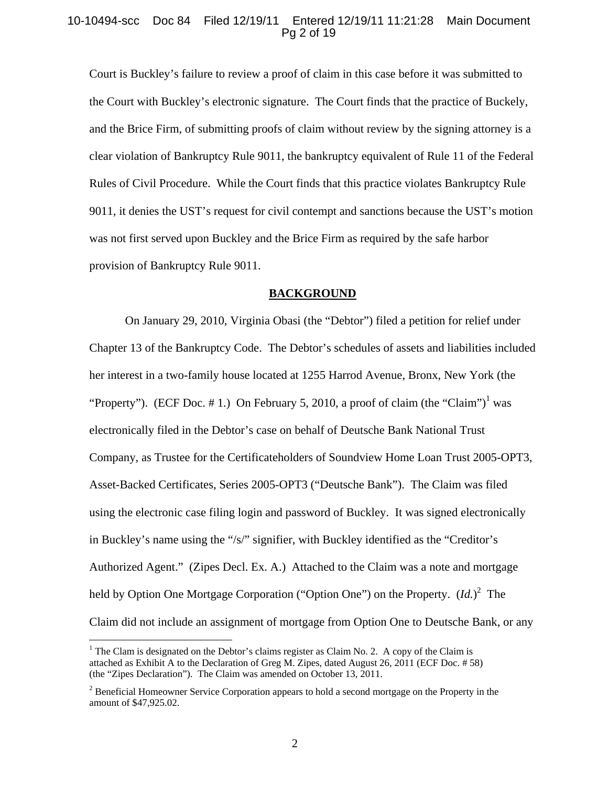### 10-10494-scc Doc 84 Filed 12/19/11 Entered 12/19/11 11:21:28 Main Document Pg 2 of 19

Court is Buckley's failure to review a proof of claim in this case before it was submitted to the Court with Buckley's electronic signature. The Court finds that the practice of Buckely, and the Brice Firm, of submitting proofs of claim without review by the signing attorney is a clear violation of Bankruptcy Rule 9011, the bankruptcy equivalent of Rule 11 of the Federal Rules of Civil Procedure. While the Court finds that this practice violates Bankruptcy Rule 9011, it denies the UST's request for civil contempt and sanctions because the UST's motion was not first served upon Buckley and the Brice Firm as required by the safe harbor provision of Bankruptcy Rule 9011.

#### **BACKGROUND**

On January 29, 2010, Virginia Obasi (the "Debtor") filed a petition for relief under Chapter 13 of the Bankruptcy Code. The Debtor's schedules of assets and liabilities included her interest in a two-family house located at 1255 Harrod Avenue, Bronx, New York (the "Property"). (ECF Doc. #1.) On February 5, 2010, a proof of claim (the "Claim")<sup>1</sup> was electronically filed in the Debtor's case on behalf of Deutsche Bank National Trust Company, as Trustee for the Certificateholders of Soundview Home Loan Trust 2005-OPT3, Asset-Backed Certificates, Series 2005-OPT3 ("Deutsche Bank"). The Claim was filed using the electronic case filing login and password of Buckley. It was signed electronically in Buckley's name using the "/s/" signifier, with Buckley identified as the "Creditor's Authorized Agent." (Zipes Decl. Ex. A.) Attached to the Claim was a note and mortgage held by Option One Mortgage Corporation ("Option One") on the Property.  $(Id.)^2$  The Claim did not include an assignment of mortgage from Option One to Deutsche Bank, or any

1

<sup>&</sup>lt;sup>1</sup> The Clam is designated on the Debtor's claims register as Claim No. 2. A copy of the Claim is attached as Exhibit A to the Declaration of Greg M. Zipes, dated August 26, 2011 (ECF Doc. # 58) (the "Zipes Declaration"). The Claim was amended on October 13, 2011.

 $2^{2}$  Beneficial Homeowner Service Corporation appears to hold a second mortgage on the Property in the amount of \$47,925.02.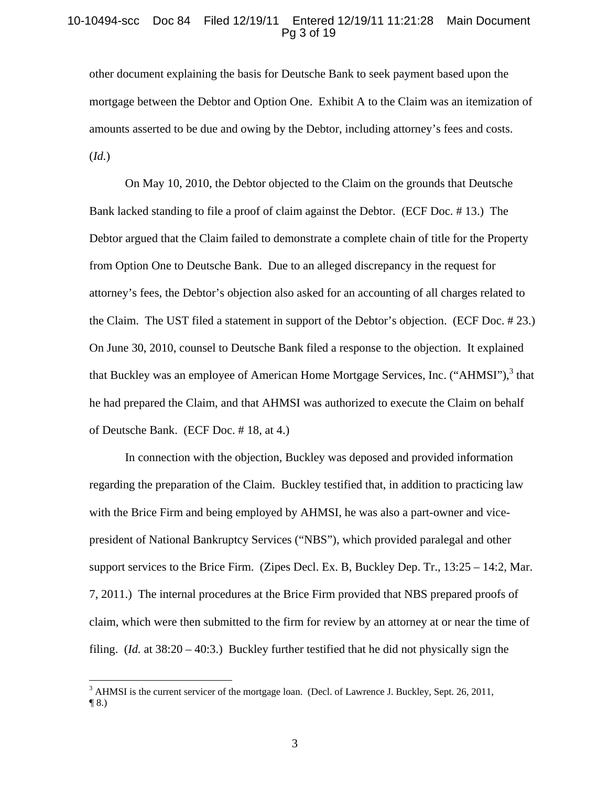### 10-10494-scc Doc 84 Filed 12/19/11 Entered 12/19/11 11:21:28 Main Document Pg 3 of 19

other document explaining the basis for Deutsche Bank to seek payment based upon the mortgage between the Debtor and Option One. Exhibit A to the Claim was an itemization of amounts asserted to be due and owing by the Debtor, including attorney's fees and costs. (*Id.*)

On May 10, 2010, the Debtor objected to the Claim on the grounds that Deutsche Bank lacked standing to file a proof of claim against the Debtor. (ECF Doc. # 13.) The Debtor argued that the Claim failed to demonstrate a complete chain of title for the Property from Option One to Deutsche Bank. Due to an alleged discrepancy in the request for attorney's fees, the Debtor's objection also asked for an accounting of all charges related to the Claim. The UST filed a statement in support of the Debtor's objection. (ECF Doc. # 23.) On June 30, 2010, counsel to Deutsche Bank filed a response to the objection. It explained that Buckley was an employee of American Home Mortgage Services, Inc. ("AHMSI"),<sup>3</sup> that he had prepared the Claim, and that AHMSI was authorized to execute the Claim on behalf of Deutsche Bank. (ECF Doc. # 18, at 4.)

In connection with the objection, Buckley was deposed and provided information regarding the preparation of the Claim. Buckley testified that, in addition to practicing law with the Brice Firm and being employed by AHMSI, he was also a part-owner and vicepresident of National Bankruptcy Services ("NBS"), which provided paralegal and other support services to the Brice Firm. (Zipes Decl. Ex. B, Buckley Dep. Tr., 13:25 – 14:2, Mar. 7, 2011.) The internal procedures at the Brice Firm provided that NBS prepared proofs of claim, which were then submitted to the firm for review by an attorney at or near the time of filing. (*Id.* at 38:20 – 40:3.) Buckley further testified that he did not physically sign the

1

 $3$  AHMSI is the current servicer of the mortgage loan. (Decl. of Lawrence J. Buckley, Sept. 26, 2011,  $\P$  8.)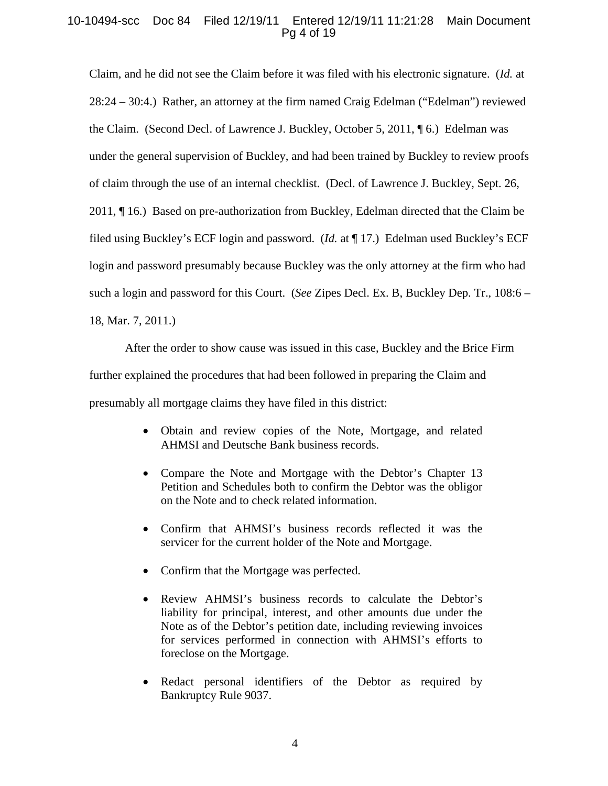# 10-10494-scc Doc 84 Filed 12/19/11 Entered 12/19/11 11:21:28 Main Document Pg 4 of 19

Claim, and he did not see the Claim before it was filed with his electronic signature. (*Id.* at 28:24 – 30:4.) Rather, an attorney at the firm named Craig Edelman ("Edelman") reviewed the Claim. (Second Decl. of Lawrence J. Buckley, October 5, 2011, ¶ 6.) Edelman was under the general supervision of Buckley, and had been trained by Buckley to review proofs of claim through the use of an internal checklist. (Decl. of Lawrence J. Buckley, Sept. 26, 2011, ¶ 16.) Based on pre-authorization from Buckley, Edelman directed that the Claim be filed using Buckley's ECF login and password. (*Id.* at ¶ 17.) Edelman used Buckley's ECF login and password presumably because Buckley was the only attorney at the firm who had such a login and password for this Court. (*See* Zipes Decl. Ex. B, Buckley Dep. Tr., 108:6 – 18, Mar. 7, 2011.)

After the order to show cause was issued in this case, Buckley and the Brice Firm further explained the procedures that had been followed in preparing the Claim and presumably all mortgage claims they have filed in this district:

- Obtain and review copies of the Note, Mortgage, and related AHMSI and Deutsche Bank business records.
- Compare the Note and Mortgage with the Debtor's Chapter 13 Petition and Schedules both to confirm the Debtor was the obligor on the Note and to check related information.
- Confirm that AHMSI's business records reflected it was the servicer for the current holder of the Note and Mortgage.
- Confirm that the Mortgage was perfected.
- Review AHMSI's business records to calculate the Debtor's liability for principal, interest, and other amounts due under the Note as of the Debtor's petition date, including reviewing invoices for services performed in connection with AHMSI's efforts to foreclose on the Mortgage.
- Redact personal identifiers of the Debtor as required by Bankruptcy Rule 9037.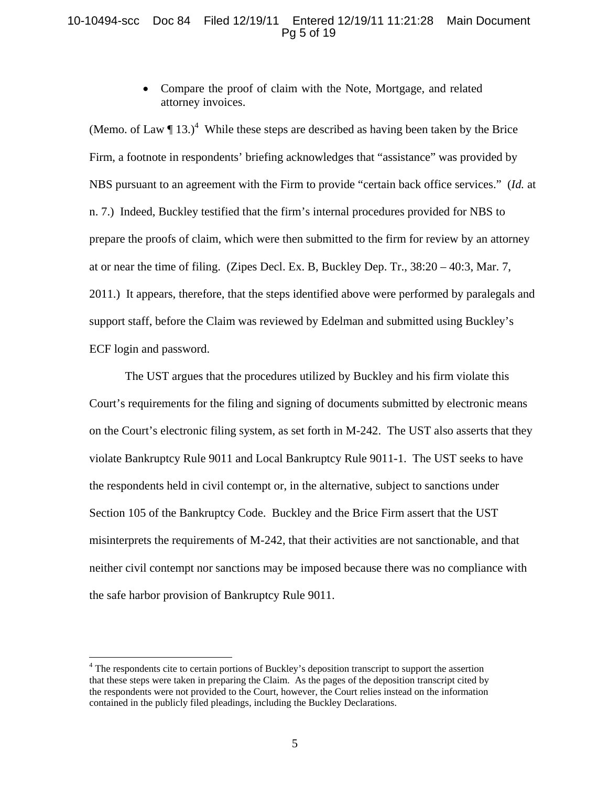# 10-10494-scc Doc 84 Filed 12/19/11 Entered 12/19/11 11:21:28 Main Document Pg 5 of 19

• Compare the proof of claim with the Note, Mortgage, and related attorney invoices.

(Memo. of Law  $\P$  13.)<sup>4</sup> While these steps are described as having been taken by the Brice Firm, a footnote in respondents' briefing acknowledges that "assistance" was provided by NBS pursuant to an agreement with the Firm to provide "certain back office services." (*Id.* at n. 7.) Indeed, Buckley testified that the firm's internal procedures provided for NBS to prepare the proofs of claim, which were then submitted to the firm for review by an attorney at or near the time of filing. (Zipes Decl. Ex. B, Buckley Dep. Tr., 38:20 – 40:3, Mar. 7, 2011.) It appears, therefore, that the steps identified above were performed by paralegals and support staff, before the Claim was reviewed by Edelman and submitted using Buckley's ECF login and password.

The UST argues that the procedures utilized by Buckley and his firm violate this Court's requirements for the filing and signing of documents submitted by electronic means on the Court's electronic filing system, as set forth in M-242. The UST also asserts that they violate Bankruptcy Rule 9011 and Local Bankruptcy Rule 9011-1. The UST seeks to have the respondents held in civil contempt or, in the alternative, subject to sanctions under Section 105 of the Bankruptcy Code. Buckley and the Brice Firm assert that the UST misinterprets the requirements of M-242, that their activities are not sanctionable, and that neither civil contempt nor sanctions may be imposed because there was no compliance with the safe harbor provision of Bankruptcy Rule 9011.

<sup>&</sup>lt;sup>4</sup> The respondents cite to certain portions of Buckley's deposition transcript to support the assertion that these steps were taken in preparing the Claim. As the pages of the deposition transcript cited by the respondents were not provided to the Court, however, the Court relies instead on the information contained in the publicly filed pleadings, including the Buckley Declarations.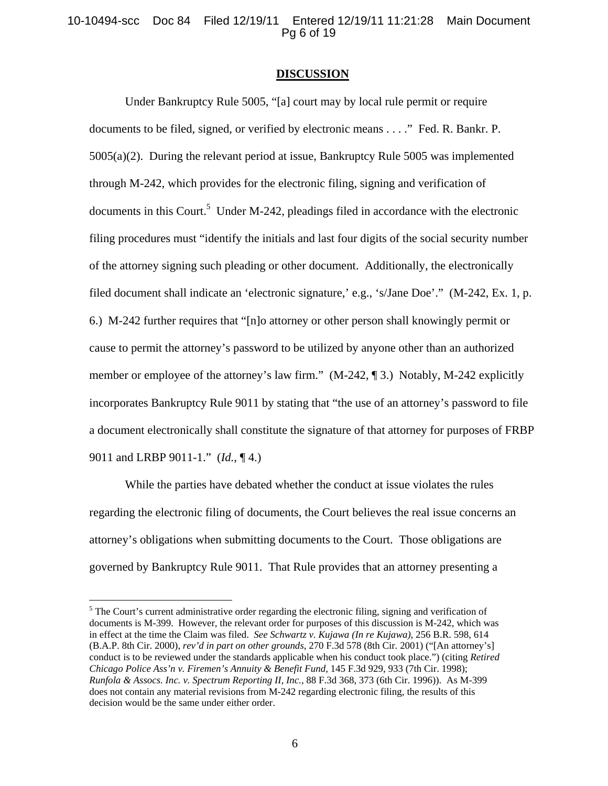### 10-10494-scc Doc 84 Filed 12/19/11 Entered 12/19/11 11:21:28 Main Document Pg 6 of 19

#### **DISCUSSION**

Under Bankruptcy Rule 5005, "[a] court may by local rule permit or require documents to be filed, signed, or verified by electronic means . . . ." Fed. R. Bankr. P. 5005(a)(2). During the relevant period at issue, Bankruptcy Rule 5005 was implemented through M-242, which provides for the electronic filing, signing and verification of documents in this Court.<sup>5</sup> Under M-242, pleadings filed in accordance with the electronic filing procedures must "identify the initials and last four digits of the social security number of the attorney signing such pleading or other document. Additionally, the electronically filed document shall indicate an 'electronic signature,' e.g., 's/Jane Doe'." (M-242, Ex. 1, p. 6.) M-242 further requires that "[n]o attorney or other person shall knowingly permit or cause to permit the attorney's password to be utilized by anyone other than an authorized member or employee of the attorney's law firm." (M-242, ¶ 3.) Notably, M-242 explicitly incorporates Bankruptcy Rule 9011 by stating that "the use of an attorney's password to file a document electronically shall constitute the signature of that attorney for purposes of FRBP 9011 and LRBP 9011-1." (*Id.*, ¶ 4.)

While the parties have debated whether the conduct at issue violates the rules regarding the electronic filing of documents, the Court believes the real issue concerns an attorney's obligations when submitting documents to the Court. Those obligations are governed by Bankruptcy Rule 9011. That Rule provides that an attorney presenting a

<sup>&</sup>lt;sup>5</sup> The Court's current administrative order regarding the electronic filing, signing and verification of documents is M-399. However, the relevant order for purposes of this discussion is M-242, which was in effect at the time the Claim was filed. *See Schwartz v. Kujawa (In re Kujawa)*, 256 B.R. 598, 614 (B.A.P. 8th Cir. 2000), *rev'd in part on other grounds*, 270 F.3d 578 (8th Cir. 2001) ("[An attorney's] conduct is to be reviewed under the standards applicable when his conduct took place.") (citing *Retired Chicago Police Ass'n v. Firemen's Annuity & Benefit Fund*, 145 F.3d 929, 933 (7th Cir. 1998); *Runfola & Assocs. Inc. v. Spectrum Reporting II, Inc.*, 88 F.3d 368, 373 (6th Cir. 1996)). As M-399 does not contain any material revisions from M-242 regarding electronic filing, the results of this decision would be the same under either order.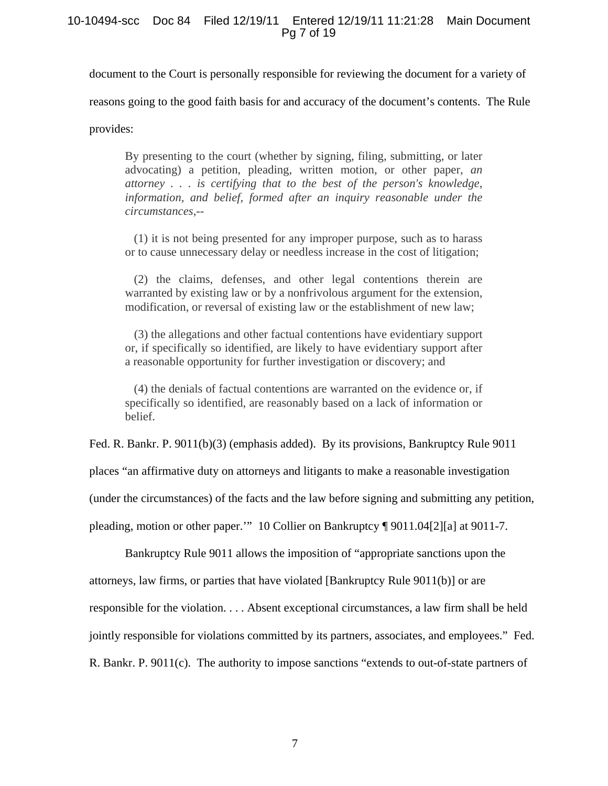### 10-10494-scc Doc 84 Filed 12/19/11 Entered 12/19/11 11:21:28 Main Document Pg 7 of 19

document to the Court is personally responsible for reviewing the document for a variety of

reasons going to the good faith basis for and accuracy of the document's contents. The Rule

provides:

By presenting to the court (whether by signing, filing, submitting, or later advocating) a petition, pleading, written motion, or other paper, *an attorney . . . is certifying that to the best of the person's knowledge, information, and belief, formed after an inquiry reasonable under the circumstances*,--

 (1) it is not being presented for any improper purpose, such as to harass or to cause unnecessary delay or needless increase in the cost of litigation;

 (2) the claims, defenses, and other legal contentions therein are warranted by existing law or by a nonfrivolous argument for the extension, modification, or reversal of existing law or the establishment of new law;

 (3) the allegations and other factual contentions have evidentiary support or, if specifically so identified, are likely to have evidentiary support after a reasonable opportunity for further investigation or discovery; and

 (4) the denials of factual contentions are warranted on the evidence or, if specifically so identified, are reasonably based on a lack of information or belief.

Fed. R. Bankr. P. 9011(b)(3) (emphasis added). By its provisions, Bankruptcy Rule 9011 places "an affirmative duty on attorneys and litigants to make a reasonable investigation (under the circumstances) of the facts and the law before signing and submitting any petition,

pleading, motion or other paper.'" 10 Collier on Bankruptcy ¶ 9011.04[2][a] at 9011-7.

Bankruptcy Rule 9011 allows the imposition of "appropriate sanctions upon the attorneys, law firms, or parties that have violated [Bankruptcy Rule 9011(b)] or are responsible for the violation. . . . Absent exceptional circumstances, a law firm shall be held jointly responsible for violations committed by its partners, associates, and employees." Fed. R. Bankr. P. 9011(c). The authority to impose sanctions "extends to out-of-state partners of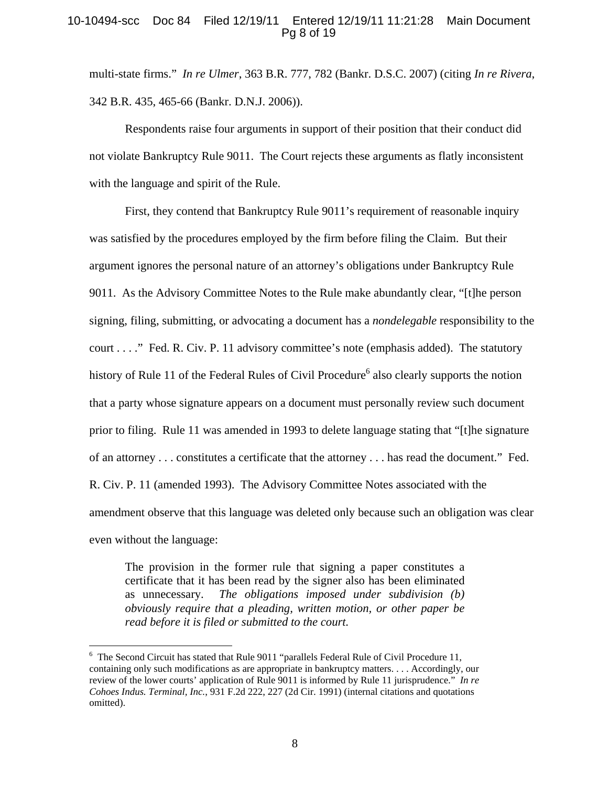# 10-10494-scc Doc 84 Filed 12/19/11 Entered 12/19/11 11:21:28 Main Document Pg 8 of 19

multi-state firms." *In re Ulmer*, 363 B.R. 777, 782 (Bankr. D.S.C. 2007) (citing *In re Rivera*, 342 B.R. 435, 465-66 (Bankr. D.N.J. 2006)).

Respondents raise four arguments in support of their position that their conduct did not violate Bankruptcy Rule 9011. The Court rejects these arguments as flatly inconsistent with the language and spirit of the Rule.

 First, they contend that Bankruptcy Rule 9011's requirement of reasonable inquiry was satisfied by the procedures employed by the firm before filing the Claim. But their argument ignores the personal nature of an attorney's obligations under Bankruptcy Rule 9011. As the Advisory Committee Notes to the Rule make abundantly clear, "[t]he person signing, filing, submitting, or advocating a document has a *nondelegable* responsibility to the court . . . ." Fed. R. Civ. P. 11 advisory committee's note (emphasis added). The statutory history of Rule 11 of the Federal Rules of Civil Procedure<sup>6</sup> also clearly supports the notion that a party whose signature appears on a document must personally review such document prior to filing. Rule 11 was amended in 1993 to delete language stating that "[t]he signature of an attorney . . . constitutes a certificate that the attorney . . . has read the document." Fed. R. Civ. P. 11 (amended 1993). The Advisory Committee Notes associated with the amendment observe that this language was deleted only because such an obligation was clear even without the language:

The provision in the former rule that signing a paper constitutes a certificate that it has been read by the signer also has been eliminated as unnecessary. *The obligations imposed under subdivision (b) obviously require that a pleading, written motion, or other paper be read before it is filed or submitted to the court.* 

<sup>&</sup>lt;sup>6</sup> The Second Circuit has stated that Rule 9011 "parallels Federal Rule of Civil Procedure 11, containing only such modifications as are appropriate in bankruptcy matters. . . . Accordingly, our review of the lower courts' application of Rule 9011 is informed by Rule 11 jurisprudence." *In re Cohoes Indus. Terminal, Inc.*, 931 F.2d 222, 227 (2d Cir. 1991) (internal citations and quotations omitted).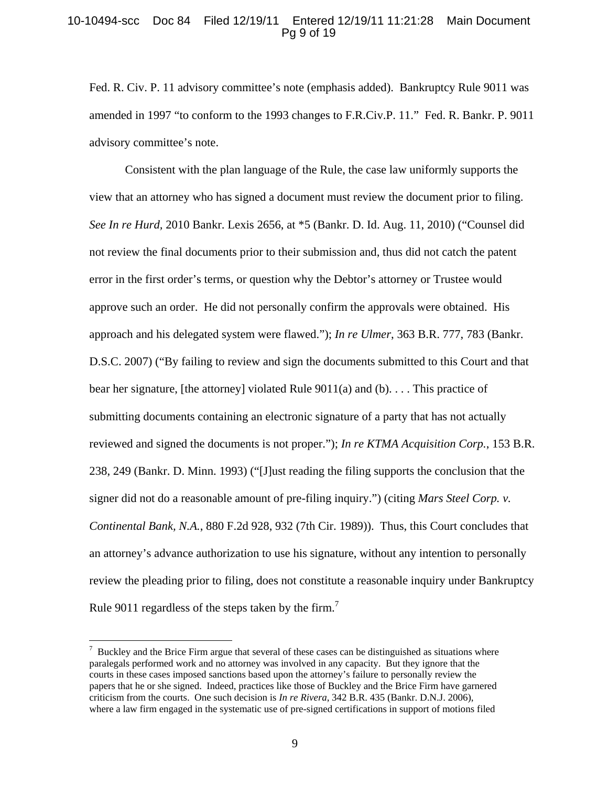#### 10-10494-scc Doc 84 Filed 12/19/11 Entered 12/19/11 11:21:28 Main Document Pg 9 of 19

Fed. R. Civ. P. 11 advisory committee's note (emphasis added). Bankruptcy Rule 9011 was amended in 1997 "to conform to the 1993 changes to F.R.Civ.P. 11." Fed. R. Bankr. P. 9011 advisory committee's note.

Consistent with the plan language of the Rule, the case law uniformly supports the view that an attorney who has signed a document must review the document prior to filing. *See In re Hurd,* 2010 Bankr. Lexis 2656, at \*5 (Bankr. D. Id. Aug. 11, 2010) ("Counsel did not review the final documents prior to their submission and, thus did not catch the patent error in the first order's terms, or question why the Debtor's attorney or Trustee would approve such an order. He did not personally confirm the approvals were obtained. His approach and his delegated system were flawed."); *In re Ulmer*, 363 B.R. 777, 783 (Bankr. D.S.C. 2007) ("By failing to review and sign the documents submitted to this Court and that bear her signature, [the attorney] violated Rule  $9011(a)$  and  $(b)$ ... This practice of submitting documents containing an electronic signature of a party that has not actually reviewed and signed the documents is not proper."); *In re KTMA Acquisition Corp.*, 153 B.R. 238, 249 (Bankr. D. Minn. 1993) ("[J]ust reading the filing supports the conclusion that the signer did not do a reasonable amount of pre-filing inquiry.") (citing *Mars Steel Corp. v. Continental Bank, N.A.*, 880 F.2d 928, 932 (7th Cir. 1989)). Thus, this Court concludes that an attorney's advance authorization to use his signature, without any intention to personally review the pleading prior to filing, does not constitute a reasonable inquiry under Bankruptcy Rule 9011 regardless of the steps taken by the firm.<sup>7</sup>

 $7$  Buckley and the Brice Firm argue that several of these cases can be distinguished as situations where paralegals performed work and no attorney was involved in any capacity. But they ignore that the courts in these cases imposed sanctions based upon the attorney's failure to personally review the papers that he or she signed. Indeed, practices like those of Buckley and the Brice Firm have garnered criticism from the courts. One such decision is *In re Rivera*, 342 B.R. 435 (Bankr. D.N.J. 2006), where a law firm engaged in the systematic use of pre-signed certifications in support of motions filed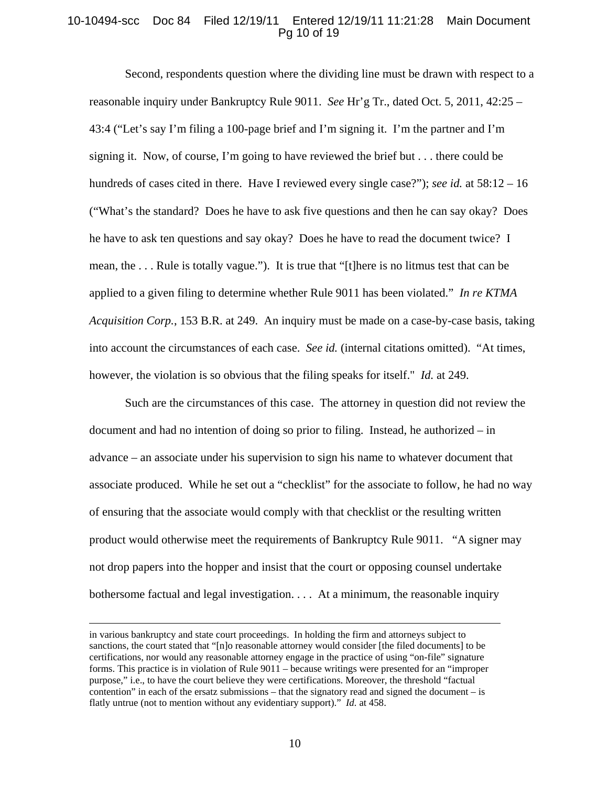### 10-10494-scc Doc 84 Filed 12/19/11 Entered 12/19/11 11:21:28 Main Document Pg 10 of 19

Second, respondents question where the dividing line must be drawn with respect to a reasonable inquiry under Bankruptcy Rule 9011. *See* Hr'g Tr., dated Oct. 5, 2011, 42:25 – 43:4 ("Let's say I'm filing a 100-page brief and I'm signing it. I'm the partner and I'm signing it. Now, of course, I'm going to have reviewed the brief but . . . there could be hundreds of cases cited in there. Have I reviewed every single case?"); *see id.* at 58:12 – 16 ("What's the standard? Does he have to ask five questions and then he can say okay? Does he have to ask ten questions and say okay? Does he have to read the document twice? I mean, the . . . Rule is totally vague."). It is true that "[t]here is no litmus test that can be applied to a given filing to determine whether Rule 9011 has been violated." *In re KTMA Acquisition Corp.*, 153 B.R. at 249. An inquiry must be made on a case-by-case basis, taking into account the circumstances of each case. *See id.* (internal citations omitted). "At times, however, the violation is so obvious that the filing speaks for itself." *Id.* at 249.

Such are the circumstances of this case. The attorney in question did not review the document and had no intention of doing so prior to filing. Instead, he authorized – in advance – an associate under his supervision to sign his name to whatever document that associate produced. While he set out a "checklist" for the associate to follow, he had no way of ensuring that the associate would comply with that checklist or the resulting written product would otherwise meet the requirements of Bankruptcy Rule 9011. "A signer may not drop papers into the hopper and insist that the court or opposing counsel undertake bothersome factual and legal investigation. . . . At a minimum, the reasonable inquiry

in various bankruptcy and state court proceedings. In holding the firm and attorneys subject to sanctions, the court stated that "[n]o reasonable attorney would consider [the filed documents] to be certifications, nor would any reasonable attorney engage in the practice of using "on-file" signature forms. This practice is in violation of Rule 9011 – because writings were presented for an "improper purpose," i.e., to have the court believe they were certifications. Moreover, the threshold "factual contention" in each of the ersatz submissions – that the signatory read and signed the document – is flatly untrue (not to mention without any evidentiary support)." *Id.* at 458.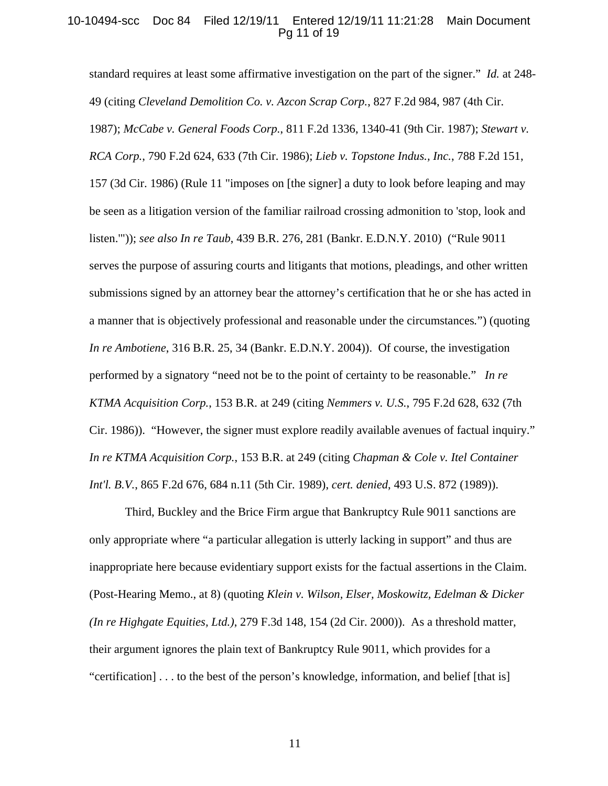#### 10-10494-scc Doc 84 Filed 12/19/11 Entered 12/19/11 11:21:28 Main Document Pg 11 of 19

standard requires at least some affirmative investigation on the part of the signer." *Id.* at 248- 49 (citing *Cleveland Demolition Co. v. Azcon Scrap Corp.*, 827 F.2d 984, 987 (4th Cir. 1987); *McCabe v. General Foods Corp.*, 811 F.2d 1336, 1340-41 (9th Cir. 1987); *Stewart v. RCA Corp.*, 790 F.2d 624, 633 (7th Cir. 1986); *Lieb v. Topstone Indus., Inc.*, 788 F.2d 151, 157 (3d Cir. 1986) (Rule 11 "imposes on [the signer] a duty to look before leaping and may be seen as a litigation version of the familiar railroad crossing admonition to 'stop, look and listen.'")); *see also In re Taub*, 439 B.R. 276, 281 (Bankr. E.D.N.Y. 2010) ("Rule 9011 serves the purpose of assuring courts and litigants that motions, pleadings, and other written submissions signed by an attorney bear the attorney's certification that he or she has acted in a manner that is objectively professional and reasonable under the circumstances*.*") (quoting *In re Ambotiene*, 316 B.R. 25, 34 (Bankr. E.D.N.Y. 2004)). Of course, the investigation performed by a signatory "need not be to the point of certainty to be reasonable." *In re KTMA Acquisition Corp.*, 153 B.R. at 249 (citing *Nemmers v. U.S.*, 795 F.2d 628, 632 (7th Cir. 1986)). "However, the signer must explore readily available avenues of factual inquiry." *In re KTMA Acquisition Corp.*, 153 B.R. at 249 (citing *Chapman & Cole v. Itel Container Int'l. B.V.*, 865 F.2d 676, 684 n.11 (5th Cir. 1989), *cert. denied*, 493 U.S. 872 (1989)).

Third, Buckley and the Brice Firm argue that Bankruptcy Rule 9011 sanctions are only appropriate where "a particular allegation is utterly lacking in support" and thus are inappropriate here because evidentiary support exists for the factual assertions in the Claim. (Post-Hearing Memo., at 8) (quoting *Klein v. Wilson, Elser, Moskowitz, Edelman & Dicker (In re Highgate Equities, Ltd.)*, 279 F.3d 148, 154 (2d Cir. 2000)). As a threshold matter, their argument ignores the plain text of Bankruptcy Rule 9011, which provides for a "certification] . . . to the best of the person's knowledge, information, and belief [that is]

11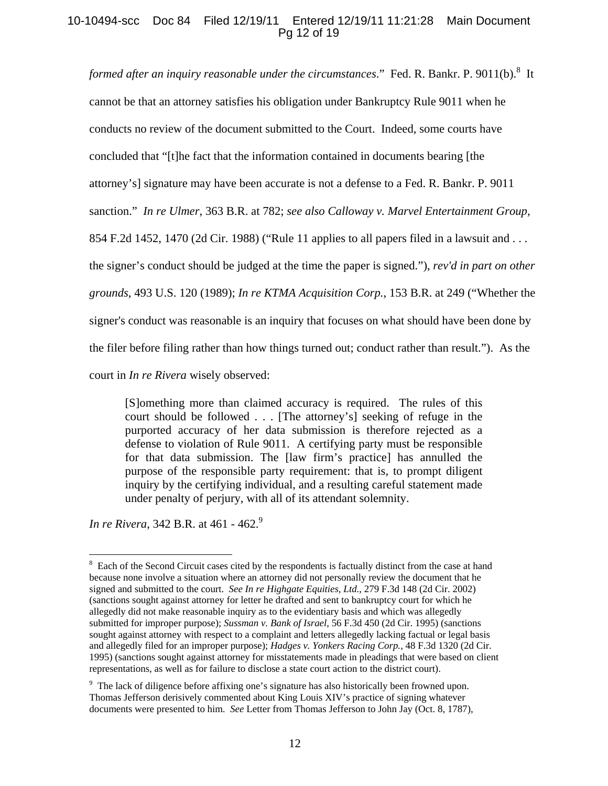# 10-10494-scc Doc 84 Filed 12/19/11 Entered 12/19/11 11:21:28 Main Document Pg 12 of 19

formed after an inquiry reasonable under the circumstances." Fed. R. Bankr. P. 9011(b).<sup>8</sup> It

cannot be that an attorney satisfies his obligation under Bankruptcy Rule 9011 when he

conducts no review of the document submitted to the Court. Indeed, some courts have

concluded that "[t]he fact that the information contained in documents bearing [the

attorney's] signature may have been accurate is not a defense to a Fed. R. Bankr. P. 9011

sanction." *In re Ulmer*, 363 B.R. at 782; *see also Calloway v. Marvel Entertainment Group*,

854 F.2d 1452, 1470 (2d Cir. 1988) ("Rule 11 applies to all papers filed in a lawsuit and . . .

the signer's conduct should be judged at the time the paper is signed."), *rev'd in part on other* 

*grounds*, 493 U.S. 120 (1989); *In re KTMA Acquisition Corp.*, 153 B.R. at 249 ("Whether the

signer's conduct was reasonable is an inquiry that focuses on what should have been done by

the filer before filing rather than how things turned out; conduct rather than result."). As the

court in *In re Rivera* wisely observed:

[S]omething more than claimed accuracy is required. The rules of this court should be followed . . . [The attorney's] seeking of refuge in the purported accuracy of her data submission is therefore rejected as a defense to violation of Rule 9011. A certifying party must be responsible for that data submission. The [law firm's practice] has annulled the purpose of the responsible party requirement: that is, to prompt diligent inquiry by the certifying individual, and a resulting careful statement made under penalty of perjury, with all of its attendant solemnity.

*In re Rivera, 342 B.R. at 461 - 462.*<sup>9</sup>

 $\overline{a}$ 8 Each of the Second Circuit cases cited by the respondents is factually distinct from the case at hand because none involve a situation where an attorney did not personally review the document that he signed and submitted to the court. *See In re Highgate Equities, Ltd.*, 279 F.3d 148 (2d Cir. 2002) (sanctions sought against attorney for letter he drafted and sent to bankruptcy court for which he allegedly did not make reasonable inquiry as to the evidentiary basis and which was allegedly submitted for improper purpose); *Sussman v. Bank of Israel*, 56 F.3d 450 (2d Cir. 1995) (sanctions sought against attorney with respect to a complaint and letters allegedly lacking factual or legal basis and allegedly filed for an improper purpose); *Hadges v. Yonkers Racing Corp.*, 48 F.3d 1320 (2d Cir. 1995) (sanctions sought against attorney for misstatements made in pleadings that were based on client representations, as well as for failure to disclose a state court action to the district court).

<sup>&</sup>lt;sup>9</sup> The lack of diligence before affixing one's signature has also historically been frowned upon. Thomas Jefferson derisively commented about King Louis XIV's practice of signing whatever documents were presented to him. *See* Letter from Thomas Jefferson to John Jay (Oct. 8, 1787),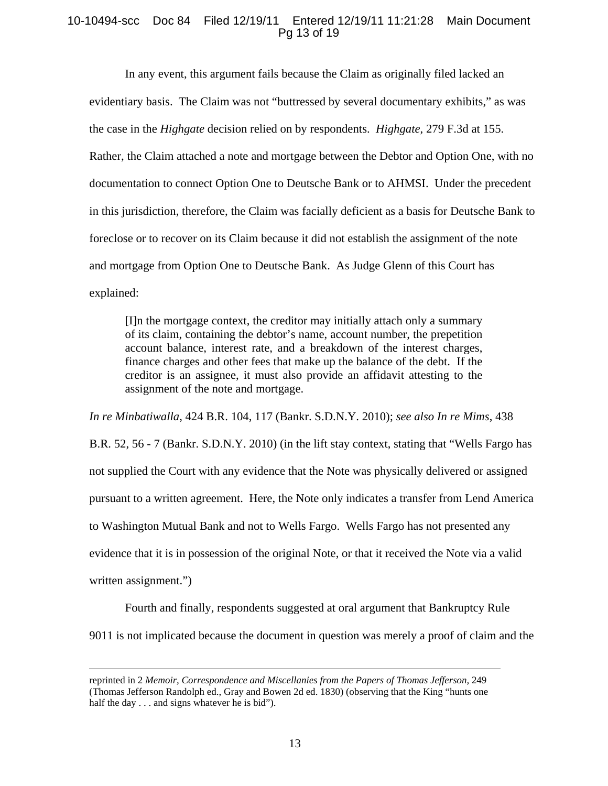### 10-10494-scc Doc 84 Filed 12/19/11 Entered 12/19/11 11:21:28 Main Document Pg 13 of 19

In any event, this argument fails because the Claim as originally filed lacked an evidentiary basis. The Claim was not "buttressed by several documentary exhibits," as was the case in the *Highgate* decision relied on by respondents. *Highgate*, 279 F.3d at 155. Rather, the Claim attached a note and mortgage between the Debtor and Option One, with no documentation to connect Option One to Deutsche Bank or to AHMSI. Under the precedent in this jurisdiction, therefore, the Claim was facially deficient as a basis for Deutsche Bank to foreclose or to recover on its Claim because it did not establish the assignment of the note and mortgage from Option One to Deutsche Bank. As Judge Glenn of this Court has explained:

[I]n the mortgage context, the creditor may initially attach only a summary of its claim, containing the debtor's name, account number, the prepetition account balance, interest rate, and a breakdown of the interest charges, finance charges and other fees that make up the balance of the debt. If the creditor is an assignee, it must also provide an affidavit attesting to the assignment of the note and mortgage.

*In re Minbatiwalla*, 424 B.R. 104, 117 (Bankr. S.D.N.Y. 2010); *see also In re Mims*, 438 B.R. 52, 56 - 7 (Bankr. S.D.N.Y. 2010) (in the lift stay context, stating that "Wells Fargo has not supplied the Court with any evidence that the Note was physically delivered or assigned pursuant to a written agreement. Here, the Note only indicates a transfer from Lend America to Washington Mutual Bank and not to Wells Fargo. Wells Fargo has not presented any evidence that it is in possession of the original Note, or that it received the Note via a valid written assignment.")

Fourth and finally, respondents suggested at oral argument that Bankruptcy Rule 9011 is not implicated because the document in question was merely a proof of claim and the

reprinted in 2 *Memoir, Correspondence and Miscellanies from the Papers of Thomas Jefferson,* <sup>249</sup> (Thomas Jefferson Randolph ed., Gray and Bowen 2d ed. 1830) (observing that the King "hunts one half the day . . . and signs whatever he is bid").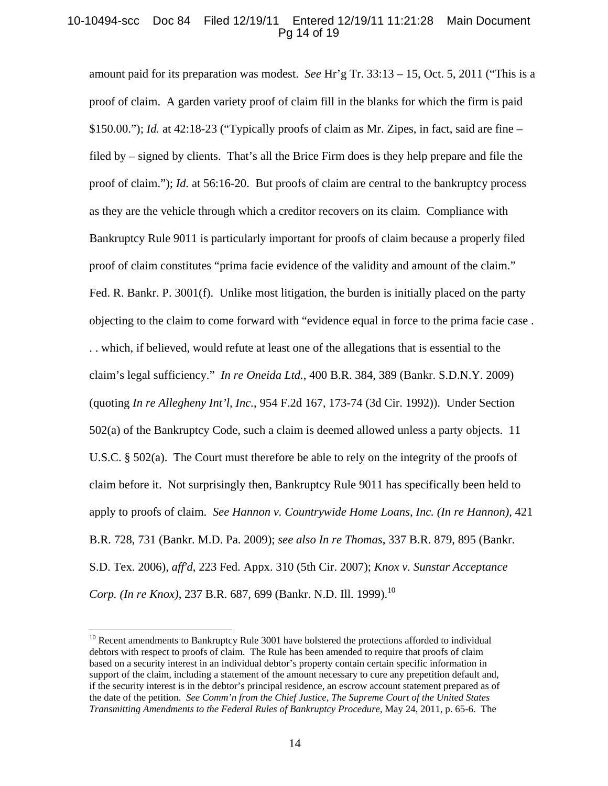# 10-10494-scc Doc 84 Filed 12/19/11 Entered 12/19/11 11:21:28 Main Document Pg 14 of 19

amount paid for its preparation was modest. *See* Hr'g Tr. 33:13 – 15, Oct. 5, 2011 ("This is a proof of claim. A garden variety proof of claim fill in the blanks for which the firm is paid  $$150.00$ ."); *Id.* at 42:18-23 ("Typically proofs of claim as Mr. Zipes, in fact, said are fine – filed by – signed by clients. That's all the Brice Firm does is they help prepare and file the proof of claim."); *Id.* at 56:16-20. But proofs of claim are central to the bankruptcy process as they are the vehicle through which a creditor recovers on its claim. Compliance with Bankruptcy Rule 9011 is particularly important for proofs of claim because a properly filed proof of claim constitutes "prima facie evidence of the validity and amount of the claim." Fed. R. Bankr. P. 3001(f). Unlike most litigation, the burden is initially placed on the party objecting to the claim to come forward with "evidence equal in force to the prima facie case . . . which, if believed, would refute at least one of the allegations that is essential to the claim's legal sufficiency." *In re Oneida Ltd.*, 400 B.R. 384, 389 (Bankr. S.D.N.Y. 2009) (quoting *In re Allegheny Int'l, Inc.*, 954 F.2d 167, 173-74 (3d Cir. 1992)). Under Section 502(a) of the Bankruptcy Code, such a claim is deemed allowed unless a party objects. 11 U.S.C. § 502(a). The Court must therefore be able to rely on the integrity of the proofs of claim before it. Not surprisingly then, Bankruptcy Rule 9011 has specifically been held to apply to proofs of claim. *See Hannon v. Countrywide Home Loans, Inc. (In re Hannon)*, 421 B.R. 728, 731 (Bankr. M.D. Pa. 2009); *see also In re Thomas*, 337 B.R. 879, 895 (Bankr. S.D. Tex. 2006), *aff'd*, 223 Fed. Appx. 310 (5th Cir. 2007); *Knox v. Sunstar Acceptance Corp. (In re Knox)*, 237 B.R. 687, 699 (Bankr. N.D. Ill. 1999).<sup>10</sup>

<u>.</u>

 $10$  Recent amendments to Bankruptcy Rule 3001 have bolstered the protections afforded to individual debtors with respect to proofs of claim. The Rule has been amended to require that proofs of claim based on a security interest in an individual debtor's property contain certain specific information in support of the claim, including a statement of the amount necessary to cure any prepetition default and, if the security interest is in the debtor's principal residence, an escrow account statement prepared as of the date of the petition. *See Comm'n from the Chief Justice, The Supreme Court of the United States Transmitting Amendments to the Federal Rules of Bankruptcy Procedure*, May 24, 2011, p. 65-6. The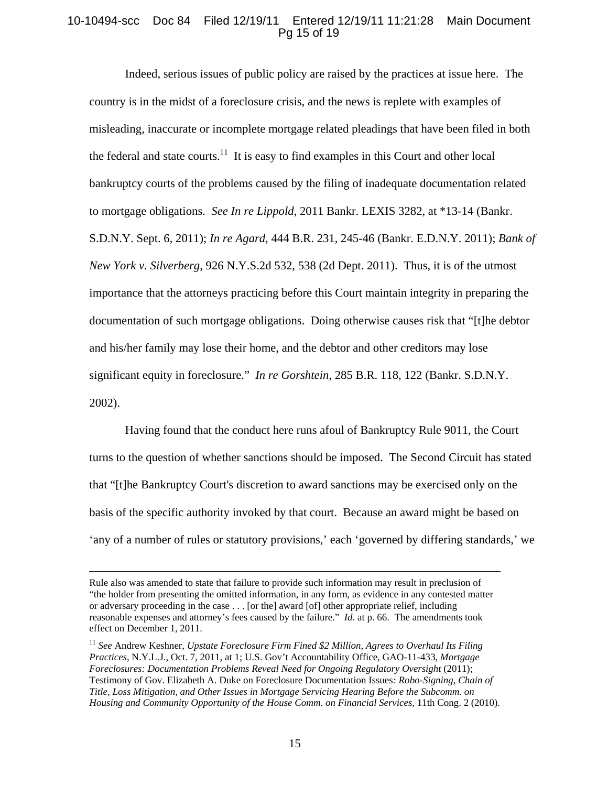### 10-10494-scc Doc 84 Filed 12/19/11 Entered 12/19/11 11:21:28 Main Document Pg 15 of 19

Indeed, serious issues of public policy are raised by the practices at issue here. The country is in the midst of a foreclosure crisis, and the news is replete with examples of misleading, inaccurate or incomplete mortgage related pleadings that have been filed in both the federal and state courts.<sup>11</sup> It is easy to find examples in this Court and other local bankruptcy courts of the problems caused by the filing of inadequate documentation related to mortgage obligations. *See In re Lippold*, 2011 Bankr. LEXIS 3282, at \*13-14 (Bankr. S.D.N.Y. Sept. 6, 2011); *In re Agard*, 444 B.R. 231, 245-46 (Bankr. E.D.N.Y. 2011); *Bank of New York v. Silverberg*, 926 N.Y.S.2d 532, 538 (2d Dept. 2011). Thus, it is of the utmost importance that the attorneys practicing before this Court maintain integrity in preparing the documentation of such mortgage obligations. Doing otherwise causes risk that "[t]he debtor and his/her family may lose their home, and the debtor and other creditors may lose significant equity in foreclosure." *In re Gorshtein*, 285 B.R. 118, 122 (Bankr. S.D.N.Y. 2002).

Having found that the conduct here runs afoul of Bankruptcy Rule 9011, the Court turns to the question of whether sanctions should be imposed. The Second Circuit has stated that "[t]he Bankruptcy Court's discretion to award sanctions may be exercised only on the basis of the specific authority invoked by that court. Because an award might be based on 'any of a number of rules or statutory provisions,' each 'governed by differing standards,' we

Rule also was amended to state that failure to provide such information may result in preclusion of "the holder from presenting the omitted information, in any form, as evidence in any contested matter or adversary proceeding in the case . . . [or the] award [of] other appropriate relief, including reasonable expenses and attorney's fees caused by the failure." *Id.* at p. 66. The amendments took effect on December 1, 2011.

<sup>&</sup>lt;sup>11</sup> See Andrew Keshner, *Upstate Foreclosure Firm Fined* \$2 Million, Agrees to Overhaul Its Filing *Practices*, N.Y.L.J., Oct. 7, 2011, at 1; U.S. Gov't Accountability Office, GAO-11-433, *Mortgage Foreclosures: Documentation Problems Reveal Need for Ongoing Regulatory Oversight* (2011); Testimony of Gov. Elizabeth A. Duke on Foreclosure Documentation Issues*: Robo-Signing, Chain of Title, Loss Mitigation, and Other Issues in Mortgage Servicing Hearing Before the Subcomm. on Housing and Community Opportunity of the House Comm. on Financial Services*, 11th Cong. 2 (2010).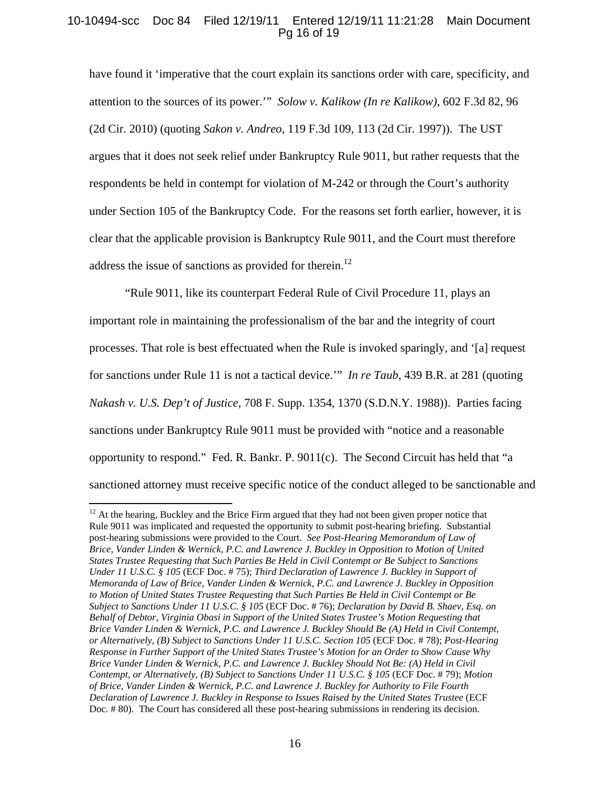# 10-10494-scc Doc 84 Filed 12/19/11 Entered 12/19/11 11:21:28 Main Document Pg 16 of 19

have found it 'imperative that the court explain its sanctions order with care, specificity, and attention to the sources of its power.'" *Solow v. Kalikow (In re Kalikow)*, 602 F.3d 82, 96 (2d Cir. 2010) (quoting *Sakon v. Andreo*, 119 F.3d 109, 113 (2d Cir. 1997)). The UST argues that it does not seek relief under Bankruptcy Rule 9011, but rather requests that the respondents be held in contempt for violation of M-242 or through the Court's authority under Section 105 of the Bankruptcy Code. For the reasons set forth earlier, however, it is clear that the applicable provision is Bankruptcy Rule 9011, and the Court must therefore address the issue of sanctions as provided for therein.<sup>12</sup>

"Rule 9011, like its counterpart Federal Rule of Civil Procedure 11, plays an important role in maintaining the professionalism of the bar and the integrity of court processes. That role is best effectuated when the Rule is invoked sparingly, and '[a] request for sanctions under Rule 11 is not a tactical device.'" *In re Taub*, 439 B.R. at 281 (quoting *Nakash v. U.S. Dep't of Justice*, 708 F. Supp. 1354, 1370 (S.D.N.Y. 1988)). Parties facing sanctions under Bankruptcy Rule 9011 must be provided with "notice and a reasonable opportunity to respond." Fed. R. Bankr. P. 9011(c). The Second Circuit has held that "a sanctioned attorney must receive specific notice of the conduct alleged to be sanctionable and

 $12$  At the hearing, Buckley and the Brice Firm argued that they had not been given proper notice that Rule 9011 was implicated and requested the opportunity to submit post-hearing briefing. Substantial post-hearing submissions were provided to the Court. *See Post-Hearing Memorandum of Law of Brice, Vander Linden & Wernick, P.C. and Lawrence J. Buckley in Opposition to Motion of United States Trustee Requesting that Such Parties Be Held in Civil Contempt or Be Subject to Sanctions Under 11 U.S.C. § 105* (ECF Doc. # 75); *Third Declaration of Lawrence J. Buckley in Support of Memoranda of Law of Brice, Vander Linden & Wernick, P.C. and Lawrence J. Buckley in Opposition to Motion of United States Trustee Requesting that Such Parties Be Held in Civil Contempt or Be Subject to Sanctions Under 11 U.S.C. § 105* (ECF Doc. # 76); *Declaration by David B. Shaev, Esq. on Behalf of Debtor, Virginia Obasi in Support of the United States Trustee's Motion Requesting that Brice Vander Linden & Wernick, P.C. and Lawrence J. Buckley Should Be (A) Held in Civil Contempt, or Alternatively, (B) Subject to Sanctions Under 11 U.S.C. Section 105* (ECF Doc. # 78); *Post-Hearing Response in Further Support of the United States Trustee's Motion for an Order to Show Cause Why Brice Vander Linden & Wernick, P.C. and Lawrence J. Buckley Should Not Be: (A) Held in Civil Contempt, or Alternatively, (B) Subject to Sanctions Under 11 U.S.C. § 105* (ECF Doc. # 79); *Motion of Brice, Vander Linden & Wernick, P.C. and Lawrence J. Buckley for Authority to File Fourth Declaration of Lawrence J. Buckley in Response to Issues Raised by the United States Trustee* (ECF Doc. # 80). The Court has considered all these post-hearing submissions in rendering its decision.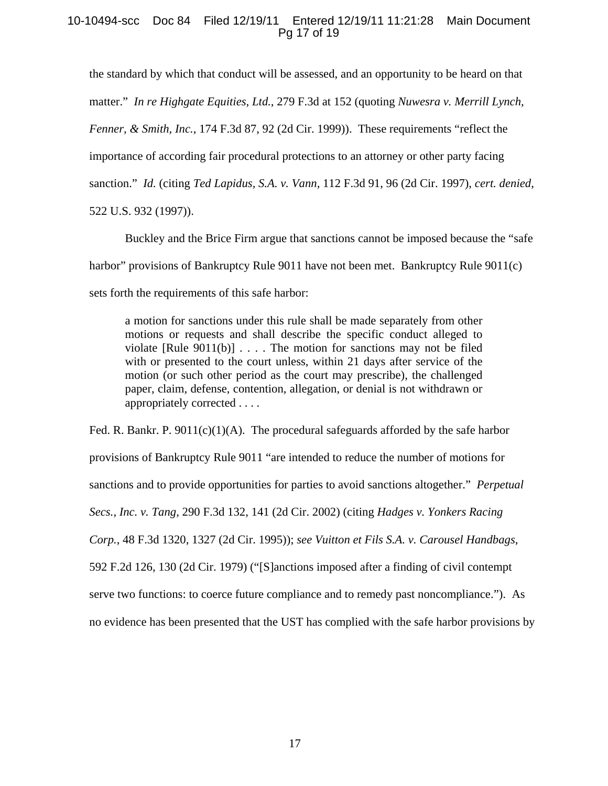### 10-10494-scc Doc 84 Filed 12/19/11 Entered 12/19/11 11:21:28 Main Document Pg 17 of 19

the standard by which that conduct will be assessed, and an opportunity to be heard on that matter." *In re Highgate Equities, Ltd.*, 279 F.3d at 152 (quoting *Nuwesra v. Merrill Lynch, Fenner, & Smith, Inc.,* 174 F.3d 87, 92 (2d Cir. 1999)). These requirements "reflect the importance of according fair procedural protections to an attorney or other party facing sanction." *Id.* (citing *Ted Lapidus, S.A. v. Vann,* 112 F.3d 91, 96 (2d Cir. 1997), *cert. denied*, 522 U.S. 932 (1997)).

Buckley and the Brice Firm argue that sanctions cannot be imposed because the "safe harbor" provisions of Bankruptcy Rule 9011 have not been met. Bankruptcy Rule 9011(c) sets forth the requirements of this safe harbor:

a motion for sanctions under this rule shall be made separately from other motions or requests and shall describe the specific conduct alleged to violate  $[Rule 9011(b)] \ldots$ . The motion for sanctions may not be filed with or presented to the court unless, within 21 days after service of the motion (or such other period as the court may prescribe), the challenged paper, claim, defense, contention, allegation, or denial is not withdrawn or appropriately corrected . . . .

Fed. R. Bankr. P.  $9011(c)(1)(A)$ . The procedural safeguards afforded by the safe harbor provisions of Bankruptcy Rule 9011 "are intended to reduce the number of motions for sanctions and to provide opportunities for parties to avoid sanctions altogether." *Perpetual Secs., Inc. v. Tang*, 290 F.3d 132, 141 (2d Cir. 2002) (citing *Hadges v. Yonkers Racing Corp.*, 48 F.3d 1320, 1327 (2d Cir. 1995)); *see Vuitton et Fils S.A. v. Carousel Handbags*, 592 F.2d 126, 130 (2d Cir. 1979) ("[S]anctions imposed after a finding of civil contempt serve two functions: to coerce future compliance and to remedy past noncompliance."). As no evidence has been presented that the UST has complied with the safe harbor provisions by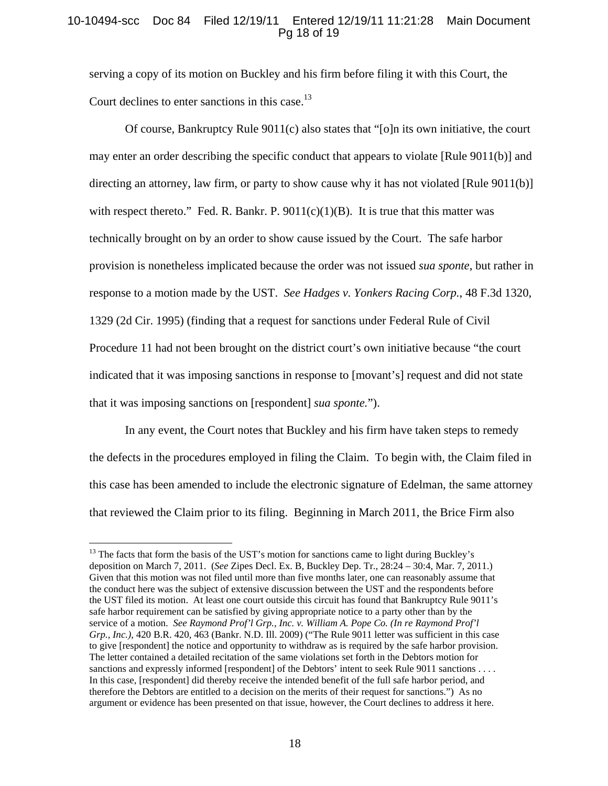### 10-10494-scc Doc 84 Filed 12/19/11 Entered 12/19/11 11:21:28 Main Document Pg 18 of 19

serving a copy of its motion on Buckley and his firm before filing it with this Court, the Court declines to enter sanctions in this case.<sup>13</sup>

 Of course, Bankruptcy Rule 9011(c) also states that "[o]n its own initiative, the court may enter an order describing the specific conduct that appears to violate [Rule 9011(b)] and directing an attorney, law firm, or party to show cause why it has not violated [Rule 9011(b)] with respect thereto." Fed. R. Bankr. P.  $9011(c)(1)(B)$ . It is true that this matter was technically brought on by an order to show cause issued by the Court. The safe harbor provision is nonetheless implicated because the order was not issued *sua sponte*, but rather in response to a motion made by the UST. *See Hadges v. Yonkers Racing Corp.*, 48 F.3d 1320, 1329 (2d Cir. 1995) (finding that a request for sanctions under Federal Rule of Civil Procedure 11 had not been brought on the district court's own initiative because "the court indicated that it was imposing sanctions in response to [movant's] request and did not state that it was imposing sanctions on [respondent] *sua sponte.*").

 In any event, the Court notes that Buckley and his firm have taken steps to remedy the defects in the procedures employed in filing the Claim. To begin with, the Claim filed in this case has been amended to include the electronic signature of Edelman, the same attorney that reviewed the Claim prior to its filing. Beginning in March 2011, the Brice Firm also

<sup>&</sup>lt;sup>13</sup> The facts that form the basis of the UST's motion for sanctions came to light during Buckley's deposition on March 7, 2011. (*See* Zipes Decl. Ex. B, Buckley Dep. Tr., 28:24 – 30:4, Mar. 7, 2011.) Given that this motion was not filed until more than five months later, one can reasonably assume that the conduct here was the subject of extensive discussion between the UST and the respondents before the UST filed its motion. At least one court outside this circuit has found that Bankruptcy Rule 9011's safe harbor requirement can be satisfied by giving appropriate notice to a party other than by the service of a motion. *See Raymond Prof'l Grp., Inc. v. William A. Pope Co. (In re Raymond Prof'l Grp., Inc.)*, 420 B.R. 420, 463 (Bankr. N.D. Ill. 2009) ("The Rule 9011 letter was sufficient in this case to give [respondent] the notice and opportunity to withdraw as is required by the safe harbor provision. The letter contained a detailed recitation of the same violations set forth in the Debtors motion for sanctions and expressly informed [respondent] of the Debtors' intent to seek Rule 9011 sanctions . . . . In this case, [respondent] did thereby receive the intended benefit of the full safe harbor period, and therefore the Debtors are entitled to a decision on the merits of their request for sanctions.") As no argument or evidence has been presented on that issue, however, the Court declines to address it here.